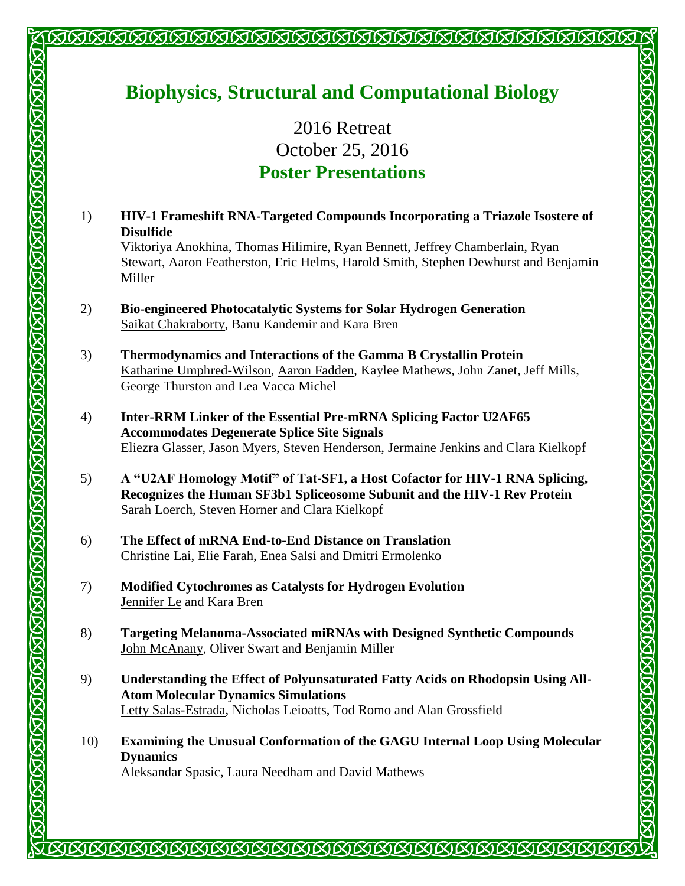## **Biophysics, Structural and Computational Biology**

<u>INNANNNNNNNNNNNNNNNNNNNNNNNNNNN</u>

2016 Retreat October 25, 2016 **Poster Presentations** 

- 1) **HIV-1 Frameshift RNA-Targeted Compounds Incorporating a Triazole Isostere of Disulfide** Viktoriya Anokhina, Thomas Hilimire, Ryan Bennett, Jeffrey Chamberlain, Ryan Stewart, Aaron Featherston, Eric Helms, Harold Smith, Stephen Dewhurst and Benjamin Miller
- 2) **Bio-engineered Photocatalytic Systems for Solar Hydrogen Generation** Saikat Chakraborty, Banu Kandemir and Kara Bren
- 3) **Thermodynamics and Interactions of the Gamma B Crystallin Protein** Katharine Umphred-Wilson, Aaron Fadden, Kaylee Mathews, John Zanet, Jeff Mills, George Thurston and Lea Vacca Michel

KIKING KIA KIKING KIKING KIKING KIKING KIKING KIKI

**STRTEGIESTEGIEGIEGIEGIEGIEG** 

- 4) **Inter-RRM Linker of the Essential Pre-mRNA Splicing Factor U2AF65 Accommodates Degenerate Splice Site Signals** Eliezra Glasser, Jason Myers, Steven Henderson, Jermaine Jenkins and Clara Kielkopf
- 5) **A "U2AF Homology Motif" of Tat-SF1, a Host Cofactor for HIV-1 RNA Splicing, Recognizes the Human SF3b1 Spliceosome Subunit and the HIV-1 Rev Protein** Sarah Loerch, Steven Horner and Clara Kielkopf
- 6) **The Effect of mRNA End-to-End Distance on Translation** Christine Lai, Elie Farah, Enea Salsi and Dmitri Ermolenko

- 7) **Modified Cytochromes as Catalysts for Hydrogen Evolution** Jennifer Le and Kara Bren
- 8) **Targeting Melanoma-Associated miRNAs with Designed Synthetic Compounds** John McAnany, Oliver Swart and Benjamin Miller
- 9) **Understanding the Effect of Polyunsaturated Fatty Acids on Rhodopsin Using All-Atom Molecular Dynamics Simulations** Letty Salas-Estrada, Nicholas Leioatts, Tod Romo and Alan Grossfield
- 10) **Examining the Unusual Conformation of the GAGU Internal Loop Using Molecular Dynamics** Aleksandar Spasic, Laura Needham and David Mathews